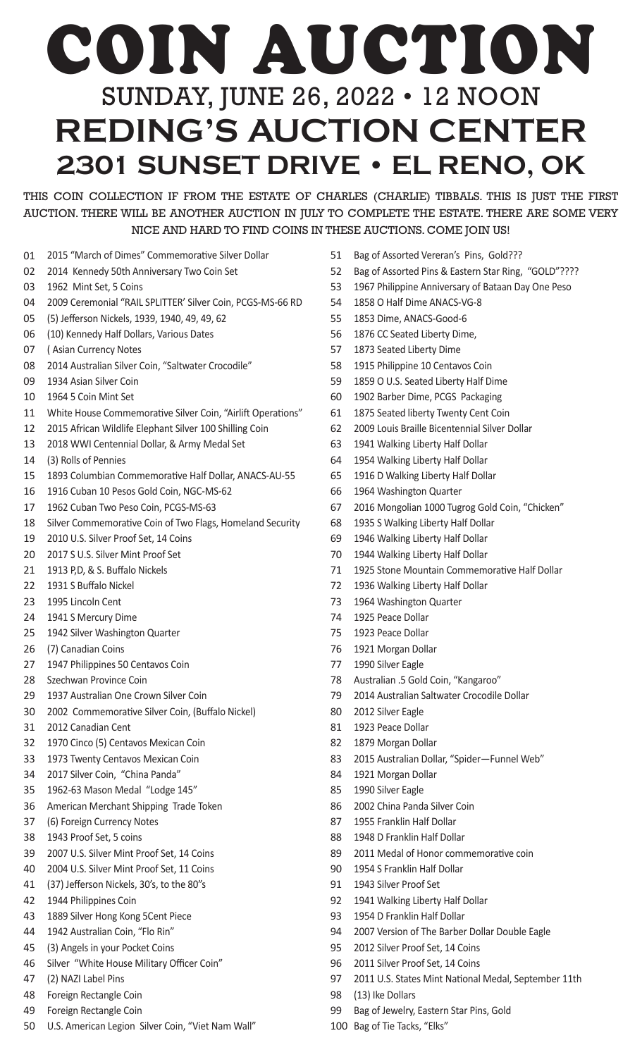## COIN AUCTION SUNDAY, JUNE 26, 2022 • 12 NOON **REDING'S AUCTION CENTER 2301 SUNSET DRIVE • EL RENO, OK**

THIS COIN COLLECTION IF FROM THE ESTATE OF CHARLES (CHARLIE) TIBBALS. THIS IS JUST THE FIRST AUCTION. THERE WILL BE ANOTHER AUCTION IN JULY TO COMPLETE THE ESTATE. THERE ARE SOME VERY NICE AND HARD TO FIND COINS IN THESE AUCTIONS. COME JOIN US!

- 2015 "March of Dimes" Commemorative Silver Dollar
- 2014 Kennedy 50th Anniversary Two Coin Set
- 1962 Mint Set, 5 Coins
- 2009 Ceremonial "RAIL SPLITTER' Silver Coin, PCGS-MS-66 RD
- (5) Jefferson Nickels, 1939, 1940, 49, 49, 62
- (10) Kennedy Half Dollars, Various Dates
- ( Asian Currency Notes
- 2014 Australian Silver Coin, "Saltwater Crocodile"
- 1934 Asian Silver Coin
- 1964 5 Coin Mint Set
- White House Commemorative Silver Coin, "Airlift Operations"
- 2015 African Wildlife Elephant Silver 100 Shilling Coin
- 2018 WWI Centennial Dollar, & Army Medal Set
- (3) Rolls of Pennies
- 1893 Columbian Commemorative Half Dollar, ANACS-AU-55
- 1916 Cuban 10 Pesos Gold Coin, NGC-MS-62
- 1962 Cuban Two Peso Coin, PCGS-MS-63
- Silver Commemorative Coin of Two Flags, Homeland Security
- 2010 U.S. Silver Proof Set, 14 Coins
- 2017 S U.S. Silver Mint Proof Set
- 1913 P,D, & S. Buffalo Nickels
- 1931 S Buffalo Nickel
- 1995 Lincoln Cent
- 1941 S Mercury Dime
- 1942 Silver Washington Quarter
- (7) Canadian Coins
- 1947 Philippines 50 Centavos Coin
- Szechwan Province Coin
- 1937 Australian One Crown Silver Coin
- 2002 Commemorative Silver Coin, (Buffalo Nickel)
- 2012 Canadian Cent
- 1970 Cinco (5) Centavos Mexican Coin
- 1973 Twenty Centavos Mexican Coin
- 2017 Silver Coin, "China Panda"
- 1962-63 Mason Medal "Lodge 145"
- American Merchant Shipping Trade Token
- (6) Foreign Currency Notes
- 1943 Proof Set, 5 coins
- 2007 U.S. Silver Mint Proof Set, 14 Coins
- 2004 U.S. Silver Mint Proof Set, 11 Coins
- (37) Jefferson Nickels, 30's, to the 80"s
- 1944 Philippines Coin
- 1889 Silver Hong Kong 5Cent Piece
- 1942 Australian Coin, "Flo Rin"
- (3) Angels in your Pocket Coins
- Silver "White House Military Officer Coin"
- (2) NAZI Label Pins
- Foreign Rectangle Coin
- Foreign Rectangle Coin
- U.S. American Legion Silver Coin, "Viet Nam Wall"
- Bag of Assorted Vereran's Pins, Gold???
- Bag of Assorted Pins & Eastern Star Ring, "GOLD"????
- 1967 Philippine Anniversary of Bataan Day One Peso
- 1858 O Half Dime ANACS-VG-8
- 1853 Dime, ANACS-Good-6
- 1876 CC Seated Liberty Dime,
- 1873 Seated Liberty Dime
- 1915 Philippine 10 Centavos Coin
- 1859 O U.S. Seated Liberty Half Dime
- 1902 Barber Dime, PCGS Packaging
- 1875 Seated liberty Twenty Cent Coin
- 2009 Louis Braille Bicentennial Silver Dollar
- 1941 Walking Liberty Half Dollar
- 1954 Walking Liberty Half Dollar
- 1916 D Walking Liberty Half Dollar
- 1964 Washington Quarter
- 2016 Mongolian 1000 Tugrog Gold Coin, "Chicken"
- 1935 S Walking Liberty Half Dollar
- 1946 Walking Liberty Half Dollar
- 1944 Walking Liberty Half Dollar
- 1925 Stone Mountain Commemorative Half Dollar
- 1936 Walking Liberty Half Dollar
- 1964 Washington Quarter
- 1925 Peace Dollar
- 1923 Peace Dollar
- 1921 Morgan Dollar
- 1990 Silver Eagle
- Australian .5 Gold Coin, "Kangaroo"
- 2014 Australian Saltwater Crocodile Dollar
- 2012 Silver Eagle
- 1923 Peace Dollar
- 1879 Morgan Dollar
- 2015 Australian Dollar, "Spider—Funnel Web"
- 1921 Morgan Dollar
- 1990 Silver Eagle
- 2002 China Panda Silver Coin
- 1955 Franklin Half Dollar
- 1948 D Franklin Half Dollar
- 2011 Medal of Honor commemorative coin
- 1954 S Franklin Half Dollar
- 1943 Silver Proof Set
- 1941 Walking Liberty Half Dollar
- 1954 D Franklin Half Dollar
- 2007 Version of The Barber Dollar Double Eagle
- 2012 Silver Proof Set, 14 Coins

Bag of Jewelry, Eastern Star Pins, Gold

- 2011 Silver Proof Set, 14 Coins
- 2011 U.S. States Mint National Medal, September 11th
- (13) Ike Dollars

Bag of Tie Tacks, "Elks"